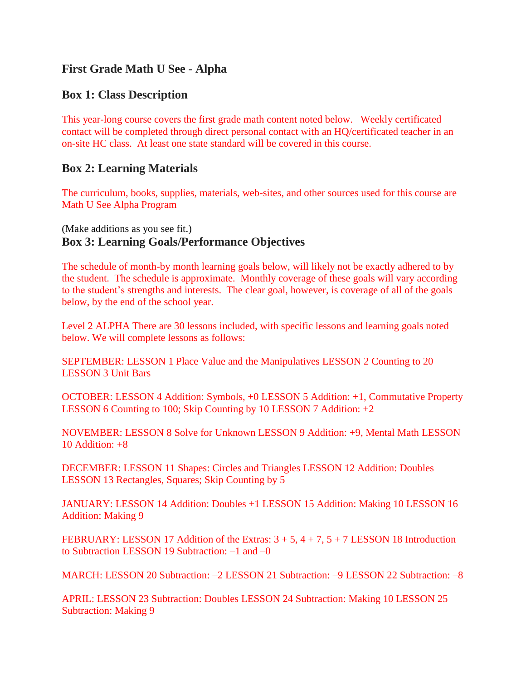# **First Grade Math U See - Alpha**

## **Box 1: Class Description**

This year-long course covers the first grade math content noted below. Weekly certificated contact will be completed through direct personal contact with an HQ/certificated teacher in an on-site HC class. At least one state standard will be covered in this course.

### **Box 2: Learning Materials**

The curriculum, books, supplies, materials, web-sites, and other sources used for this course are Math U See Alpha Program

# (Make additions as you see fit.) **Box 3: Learning Goals/Performance Objectives**

The schedule of month-by month learning goals below, will likely not be exactly adhered to by the student. The schedule is approximate. Monthly coverage of these goals will vary according to the student's strengths and interests. The clear goal, however, is coverage of all of the goals below, by the end of the school year.

Level 2 ALPHA There are 30 lessons included, with specific lessons and learning goals noted below. We will complete lessons as follows:

SEPTEMBER: LESSON 1 Place Value and the Manipulatives LESSON 2 Counting to 20 LESSON 3 Unit Bars

OCTOBER: LESSON 4 Addition: Symbols, +0 LESSON 5 Addition: +1, Commutative Property LESSON 6 Counting to 100; Skip Counting by 10 LESSON 7 Addition: +2

NOVEMBER: LESSON 8 Solve for Unknown LESSON 9 Addition: +9, Mental Math LESSON 10 Addition:  $+8$ 

DECEMBER: LESSON 11 Shapes: Circles and Triangles LESSON 12 Addition: Doubles LESSON 13 Rectangles, Squares; Skip Counting by 5

JANUARY: LESSON 14 Addition: Doubles +1 LESSON 15 Addition: Making 10 LESSON 16 Addition: Making 9

FEBRUARY: LESSON 17 Addition of the Extras:  $3 + 5$ ,  $4 + 7$ ,  $5 + 7$  LESSON 18 Introduction to Subtraction LESSON 19 Subtraction: –1 and –0

MARCH: LESSON 20 Subtraction: –2 LESSON 21 Subtraction: –9 LESSON 22 Subtraction: –8

APRIL: LESSON 23 Subtraction: Doubles LESSON 24 Subtraction: Making 10 LESSON 25 Subtraction: Making 9